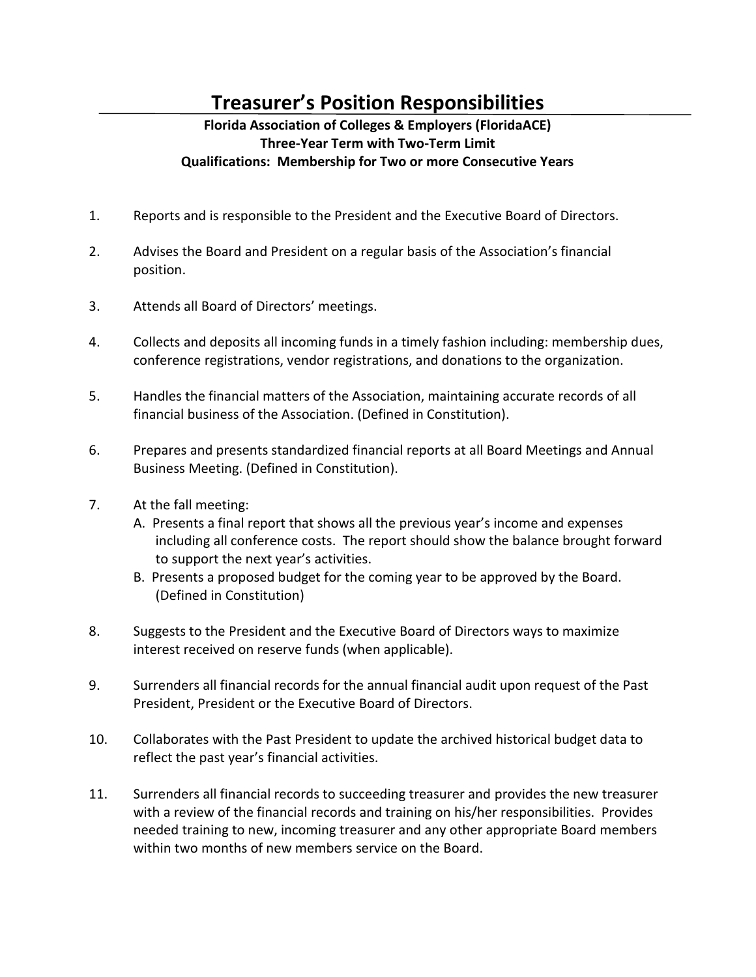## **Treasurer's Position Responsibilities**

## **Florida Association of Colleges & Employers (FloridaACE) Three-Year Term with Two-Term Limit Qualifications: Membership for Two or more Consecutive Years**

- 1. Reports and is responsible to the President and the Executive Board of Directors.
- 2. Advises the Board and President on a regular basis of the Association's financial position.
- 3. Attends all Board of Directors' meetings.
- 4. Collects and deposits all incoming funds in a timely fashion including: membership dues, conference registrations, vendor registrations, and donations to the organization.
- 5. Handles the financial matters of the Association, maintaining accurate records of all financial business of the Association. (Defined in Constitution).
- 6. Prepares and presents standardized financial reports at all Board Meetings and Annual Business Meeting. (Defined in Constitution).
- 7. At the fall meeting:
	- A. Presents a final report that shows all the previous year's income and expenses including all conference costs. The report should show the balance brought forward to support the next year's activities.
	- B. Presents a proposed budget for the coming year to be approved by the Board. (Defined in Constitution)
- 8. Suggests to the President and the Executive Board of Directors ways to maximize interest received on reserve funds (when applicable).
- 9. Surrenders all financial records for the annual financial audit upon request of the Past President, President or the Executive Board of Directors.
- 10. Collaborates with the Past President to update the archived historical budget data to reflect the past year's financial activities.
- 11. Surrenders all financial records to succeeding treasurer and provides the new treasurer with a review of the financial records and training on his/her responsibilities. Provides needed training to new, incoming treasurer and any other appropriate Board members within two months of new members service on the Board.